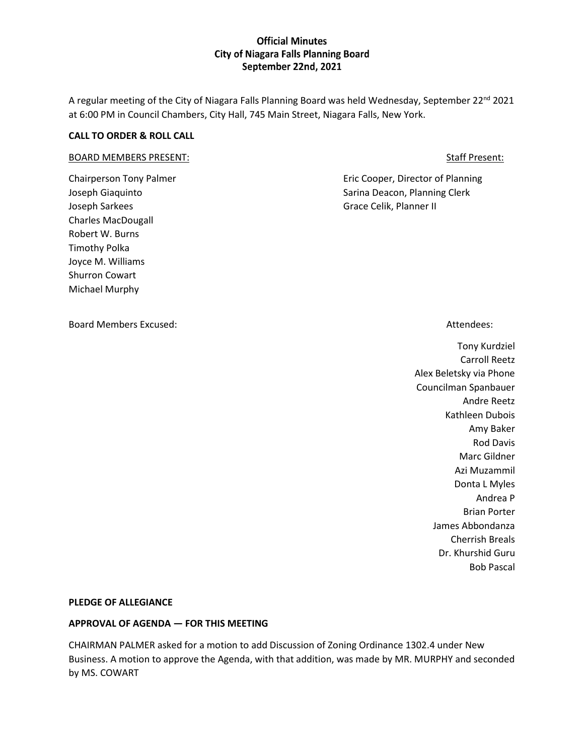A regular meeting of the City of Niagara Falls Planning Board was held Wednesday, September 22<sup>nd</sup> 2021 at 6:00 PM in Council Chambers, City Hall, 745 Main Street, Niagara Falls, New York.

### **CALL TO ORDER & ROLL CALL**

#### BOARD MEMBERS PRESENT: STATE STATE STATE STATE STATE STATE STATE STATE STATE STATE STATE STATE STATE STATE STATE STATE STATE STATE STATE STATE STATE STATE STATE STATE STATE STATE STATE STATE STATE STATE STATE STATE STATE S

Joseph Sarkees Grace Celik, Planner II Charles MacDougall Robert W. Burns Timothy Polka Joyce M. Williams Shurron Cowart Michael Murphy

Board Members Excused: Attendees: Attendees: Attendees: Attendees: Attendees: Attendees: Attendees: Attendees:

Chairperson Tony Palmer **Eric Cooper, Director of Planning** Joseph Giaquinto **Sarina Deacon, Planning Clerk** Sarina Deacon, Planning Clerk

Tony Kurdziel Carroll Reetz Alex Beletsky via Phone Councilman Spanbauer Andre Reetz Kathleen Dubois Amy Baker Rod Davis Marc Gildner Azi Muzammil Donta L Myles Andrea P Brian Porter James Abbondanza Cherrish Breals Dr. Khurshid Guru Bob Pascal

#### **PLEDGE OF ALLEGIANCE**

#### **APPROVAL OF AGENDA — FOR THIS MEETING**

CHAIRMAN PALMER asked for a motion to add Discussion of Zoning Ordinance 1302.4 under New Business. A motion to approve the Agenda, with that addition, was made by MR. MURPHY and seconded by MS. COWART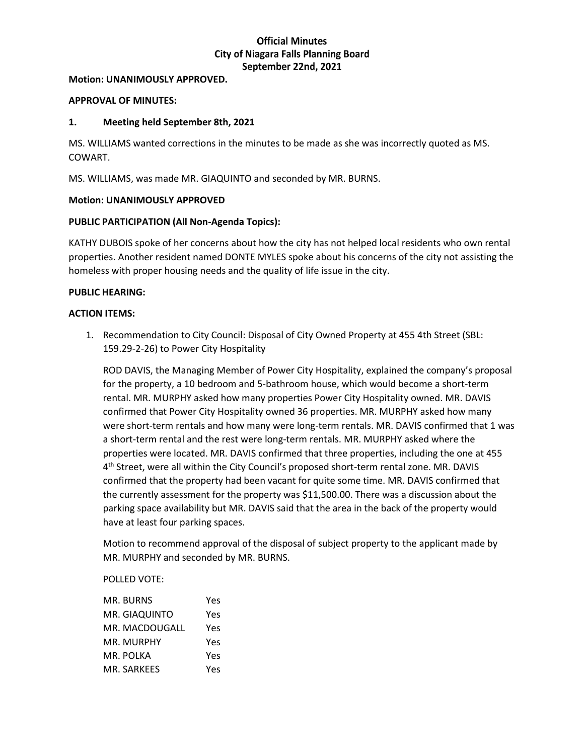#### **Motion: UNANIMOUSLY APPROVED.**

### **APPROVAL OF MINUTES:**

### **1. Meeting held September 8th, 2021**

MS. WILLIAMS wanted corrections in the minutes to be made as she was incorrectly quoted as MS. COWART.

MS. WILLIAMS, was made MR. GIAQUINTO and seconded by MR. BURNS.

### **Motion: UNANIMOUSLY APPROVED**

### **PUBLIC PARTICIPATION (All Non-Agenda Topics):**

KATHY DUBOIS spoke of her concerns about how the city has not helped local residents who own rental properties. Another resident named DONTE MYLES spoke about his concerns of the city not assisting the homeless with proper housing needs and the quality of life issue in the city.

### **PUBLIC HEARING:**

#### **ACTION ITEMS:**

1. Recommendation to City Council: Disposal of City Owned Property at 455 4th Street (SBL: 159.29-2-26) to Power City Hospitality

ROD DAVIS, the Managing Member of Power City Hospitality, explained the company's proposal for the property, a 10 bedroom and 5-bathroom house, which would become a short-term rental. MR. MURPHY asked how many properties Power City Hospitality owned. MR. DAVIS confirmed that Power City Hospitality owned 36 properties. MR. MURPHY asked how many were short-term rentals and how many were long-term rentals. MR. DAVIS confirmed that 1 was a short-term rental and the rest were long-term rentals. MR. MURPHY asked where the properties were located. MR. DAVIS confirmed that three properties, including the one at 455 4<sup>th</sup> Street, were all within the City Council's proposed short-term rental zone. MR. DAVIS confirmed that the property had been vacant for quite some time. MR. DAVIS confirmed that the currently assessment for the property was \$11,500.00. There was a discussion about the parking space availability but MR. DAVIS said that the area in the back of the property would have at least four parking spaces.

Motion to recommend approval of the disposal of subject property to the applicant made by MR. MURPHY and seconded by MR. BURNS.

## POLLED VOTE:

| MR. BURNS      | Yes |
|----------------|-----|
| MR. GIAQUINTO  | Yes |
| MR. MACDOUGALL | Yes |
| MR. MURPHY     | Yes |
| MR. POLKA      | Yes |
| MR. SARKEES    | Υρς |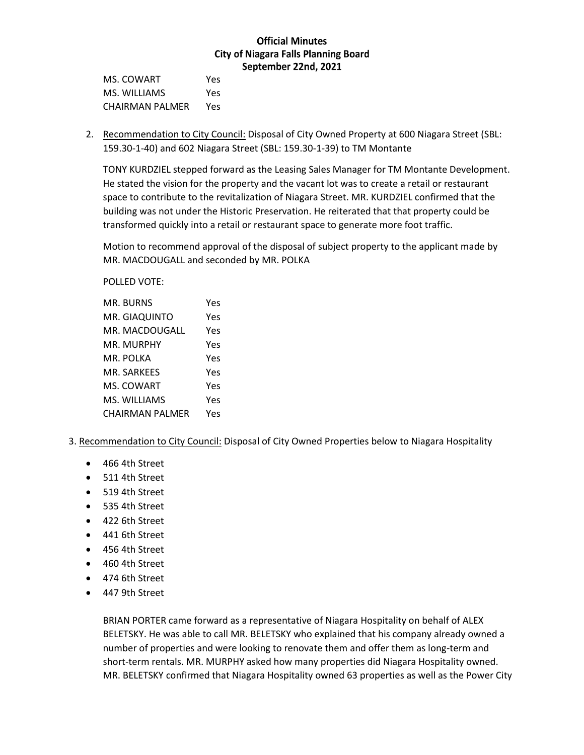MS. COWART Yes MS. WILLIAMS Yes CHAIRMAN PALMER Yes

2. Recommendation to City Council: Disposal of City Owned Property at 600 Niagara Street (SBL: 159.30-1-40) and 602 Niagara Street (SBL: 159.30-1-39) to TM Montante

TONY KURDZIEL stepped forward as the Leasing Sales Manager for TM Montante Development. He stated the vision for the property and the vacant lot was to create a retail or restaurant space to contribute to the revitalization of Niagara Street. MR. KURDZIEL confirmed that the building was not under the Historic Preservation. He reiterated that that property could be transformed quickly into a retail or restaurant space to generate more foot traffic.

Motion to recommend approval of the disposal of subject property to the applicant made by MR. MACDOUGALL and seconded by MR. POLKA

POLLED VOTE:

| MR. BURNS       | Yes |
|-----------------|-----|
| MR. GIAQUINTO   | Yes |
| MR. MACDOUGALL  | Yes |
| MR. MURPHY      | Yes |
| MR. POLKA       | Yes |
| MR. SARKEES     | Yes |
| MS. COWART      | Yes |
| MS. WILLIAMS    | Yes |
| CHAIRMAN PALMER | Yes |

## 3. Recommendation to City Council: Disposal of City Owned Properties below to Niagara Hospitality

- 466 4th Street
- 511 4th Street
- 519 4th Street
- 535 4th Street
- 422 6th Street
- 441 6th Street
- 456 4th Street
- 460 4th Street
- 474 6th Street
- 447 9th Street

BRIAN PORTER came forward as a representative of Niagara Hospitality on behalf of ALEX BELETSKY. He was able to call MR. BELETSKY who explained that his company already owned a number of properties and were looking to renovate them and offer them as long-term and short-term rentals. MR. MURPHY asked how many properties did Niagara Hospitality owned. MR. BELETSKY confirmed that Niagara Hospitality owned 63 properties as well as the Power City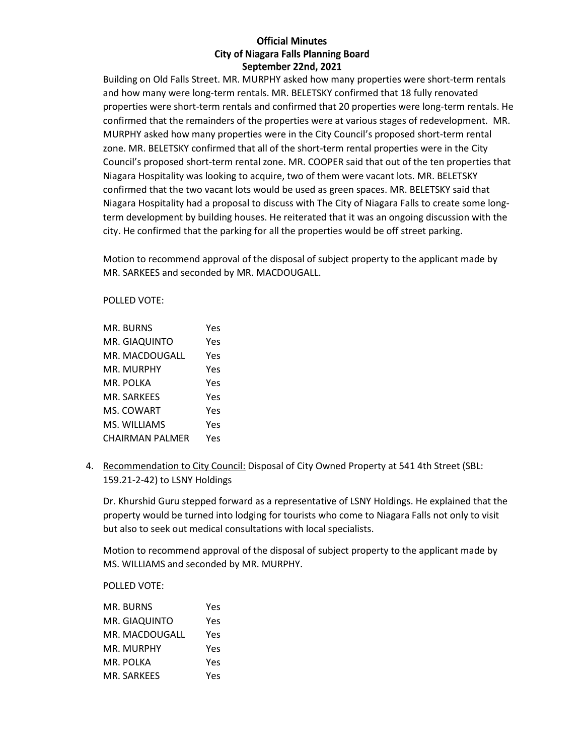Building on Old Falls Street. MR. MURPHY asked how many properties were short-term rentals and how many were long-term rentals. MR. BELETSKY confirmed that 18 fully renovated properties were short-term rentals and confirmed that 20 properties were long-term rentals. He confirmed that the remainders of the properties were at various stages of redevelopment. MR. MURPHY asked how many properties were in the City Council's proposed short-term rental zone. MR. BELETSKY confirmed that all of the short-term rental properties were in the City Council's proposed short-term rental zone. MR. COOPER said that out of the ten properties that Niagara Hospitality was looking to acquire, two of them were vacant lots. MR. BELETSKY confirmed that the two vacant lots would be used as green spaces. MR. BELETSKY said that Niagara Hospitality had a proposal to discuss with The City of Niagara Falls to create some longterm development by building houses. He reiterated that it was an ongoing discussion with the city. He confirmed that the parking for all the properties would be off street parking.

Motion to recommend approval of the disposal of subject property to the applicant made by MR. SARKEES and seconded by MR. MACDOUGALL.

POLLED VOTE:

| MR. BURNS       | Yes |
|-----------------|-----|
| MR. GIAQUINTO   | Yes |
| MR. MACDOUGALL  | Yes |
| MR. MURPHY      | Yes |
| MR. POLKA       | Yes |
| MR. SARKEES     | Yes |
| MS. COWART      | Yes |
| MS. WILLIAMS    | Yes |
| CHAIRMAN PALMER | Yes |

4. Recommendation to City Council: Disposal of City Owned Property at 541 4th Street (SBL: 159.21-2-42) to LSNY Holdings

Dr. Khurshid Guru stepped forward as a representative of LSNY Holdings. He explained that the property would be turned into lodging for tourists who come to Niagara Falls not only to visit but also to seek out medical consultations with local specialists.

Motion to recommend approval of the disposal of subject property to the applicant made by MS. WILLIAMS and seconded by MR. MURPHY.

POLLED VOTE:

| MR. BURNS      | Yes |
|----------------|-----|
| MR. GIAQUINTO  | Yes |
| MR. MACDOUGALL | Yes |
| MR. MURPHY     | Yes |
| MR. POLKA      | Yes |
| MR. SARKEES    | Yes |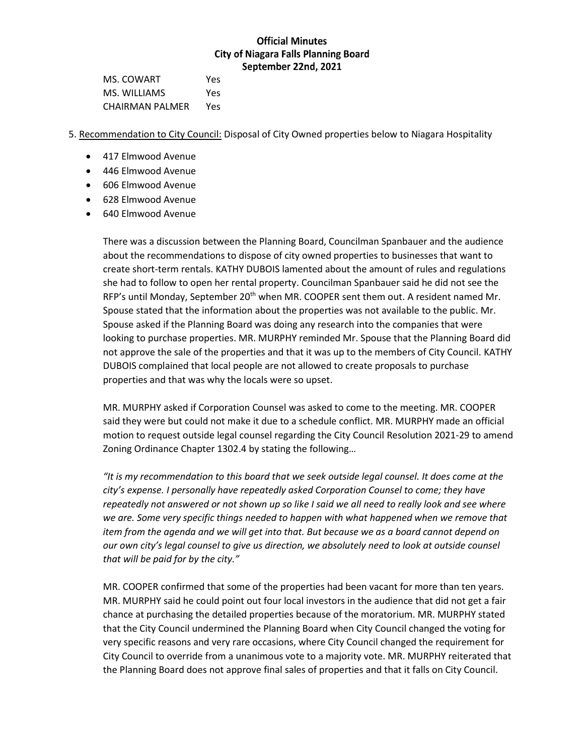MS. COWART Yes MS. WILLIAMS Yes CHAIRMAN PALMER Yes

5. Recommendation to City Council: Disposal of City Owned properties below to Niagara Hospitality

- 417 Elmwood Avenue
- 446 Elmwood Avenue
- 606 Elmwood Avenue
- 628 Elmwood Avenue
- 640 Elmwood Avenue

There was a discussion between the Planning Board, Councilman Spanbauer and the audience about the recommendations to dispose of city owned properties to businesses that want to create short-term rentals. KATHY DUBOIS lamented about the amount of rules and regulations she had to follow to open her rental property. Councilman Spanbauer said he did not see the RFP's until Monday, September  $20<sup>th</sup>$  when MR. COOPER sent them out. A resident named Mr. Spouse stated that the information about the properties was not available to the public. Mr. Spouse asked if the Planning Board was doing any research into the companies that were looking to purchase properties. MR. MURPHY reminded Mr. Spouse that the Planning Board did not approve the sale of the properties and that it was up to the members of City Council. KATHY DUBOIS complained that local people are not allowed to create proposals to purchase properties and that was why the locals were so upset.

MR. MURPHY asked if Corporation Counsel was asked to come to the meeting. MR. COOPER said they were but could not make it due to a schedule conflict. MR. MURPHY made an official motion to request outside legal counsel regarding the City Council Resolution 2021-29 to amend Zoning Ordinance Chapter 1302.4 by stating the following…

*"It is my recommendation to this board that we seek outside legal counsel. It does come at the city's expense. I personally have repeatedly asked Corporation Counsel to come; they have repeatedly not answered or not shown up so like I said we all need to really look and see where we are. Some very specific things needed to happen with what happened when we remove that item from the agenda and we will get into that. But because we as a board cannot depend on our own city's legal counsel to give us direction, we absolutely need to look at outside counsel that will be paid for by the city."*

MR. COOPER confirmed that some of the properties had been vacant for more than ten years. MR. MURPHY said he could point out four local investors in the audience that did not get a fair chance at purchasing the detailed properties because of the moratorium. MR. MURPHY stated that the City Council undermined the Planning Board when City Council changed the voting for very specific reasons and very rare occasions, where City Council changed the requirement for City Council to override from a unanimous vote to a majority vote. MR. MURPHY reiterated that the Planning Board does not approve final sales of properties and that it falls on City Council.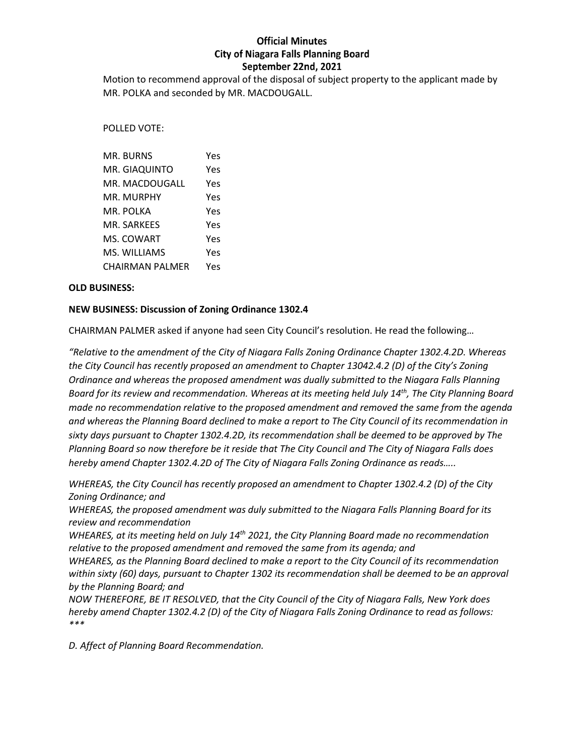Motion to recommend approval of the disposal of subject property to the applicant made by MR. POLKA and seconded by MR. MACDOUGALL.

### POLLED VOTE:

| MR. BURNS       | Yes |
|-----------------|-----|
| MR. GIAQUINTO   | Yes |
| MR. MACDOUGALL  | Yes |
| MR. MURPHY      | Yes |
| MR. POLKA       | Yes |
| MR. SARKEES     | Yes |
| MS. COWART      | Yes |
| MS. WILLIAMS    | Yes |
| CHAIRMAN PALMER | Yes |

### **OLD BUSINESS:**

### **NEW BUSINESS: Discussion of Zoning Ordinance 1302.4**

CHAIRMAN PALMER asked if anyone had seen City Council's resolution. He read the following…

*"Relative to the amendment of the City of Niagara Falls Zoning Ordinance Chapter 1302.4.2D. Whereas the City Council has recently proposed an amendment to Chapter 13042.4.2 (D) of the City's Zoning Ordinance and whereas the proposed amendment was dually submitted to the Niagara Falls Planning Board for its review and recommendation. Whereas at its meeting held July 14th, The City Planning Board made no recommendation relative to the proposed amendment and removed the same from the agenda and whereas the Planning Board declined to make a report to The City Council of its recommendation in sixty days pursuant to Chapter 1302.4.2D, its recommendation shall be deemed to be approved by The Planning Board so now therefore be it reside that The City Council and The City of Niagara Falls does hereby amend Chapter 1302.4.2D of The City of Niagara Falls Zoning Ordinance as reads…..*

*WHEREAS, the City Council has recently proposed an amendment to Chapter 1302.4.2 (D) of the City Zoning Ordinance; and*

*WHEREAS, the proposed amendment was duly submitted to the Niagara Falls Planning Board for its review and recommendation*

*WHEARES, at its meeting held on July 14th 2021, the City Planning Board made no recommendation relative to the proposed amendment and removed the same from its agenda; and*

*WHEARES, as the Planning Board declined to make a report to the City Council of its recommendation within sixty (60) days, pursuant to Chapter 1302 its recommendation shall be deemed to be an approval by the Planning Board; and*

*NOW THEREFORE, BE IT RESOLVED, that the City Council of the City of Niagara Falls, New York does hereby amend Chapter 1302.4.2 (D) of the City of Niagara Falls Zoning Ordinance to read as follows: \*\*\**

*D. Affect of Planning Board Recommendation.*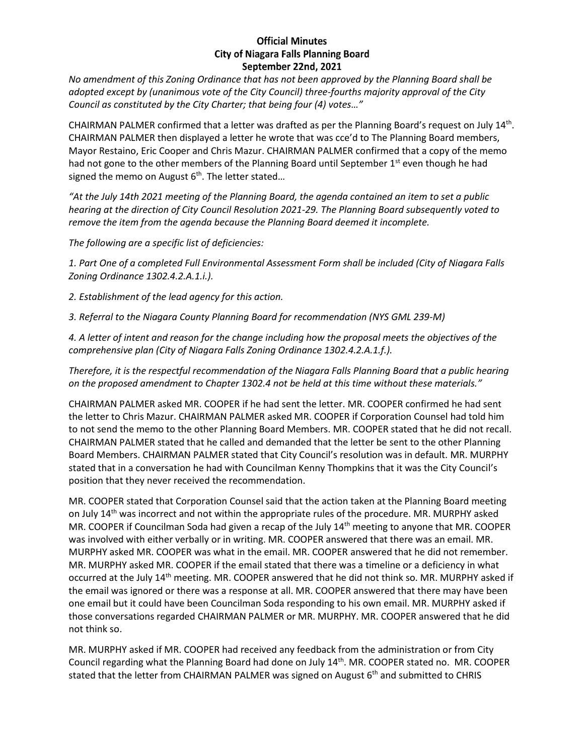*No amendment of this Zoning Ordinance that has not been approved by the Planning Board shall be adopted except by (unanimous vote of the City Council) three-fourths majority approval of the City Council as constituted by the City Charter; that being four (4) votes…"*

CHAIRMAN PALMER confirmed that a letter was drafted as per the Planning Board's request on July 14<sup>th</sup>. CHAIRMAN PALMER then displayed a letter he wrote that was cce'd to The Planning Board members, Mayor Restaino, Eric Cooper and Chris Mazur. CHAIRMAN PALMER confirmed that a copy of the memo had not gone to the other members of the Planning Board until September  $1<sup>st</sup>$  even though he had signed the memo on August 6<sup>th</sup>. The letter stated...

*"At the July 14th 2021 meeting of the Planning Board, the agenda contained an item to set a public hearing at the direction of City Council Resolution 2021-29. The Planning Board subsequently voted to remove the item from the agenda because the Planning Board deemed it incomplete.*

*The following are a specific list of deficiencies:*

*1. Part One of a completed Full Environmental Assessment Form shall be included (City of Niagara Falls Zoning Ordinance 1302.4.2.A.1.i.).* 

*2. Establishment of the lead agency for this action.*

*3. Referral to the Niagara County Planning Board for recommendation (NYS GML 239-M)*

*4. A letter of intent and reason for the change including how the proposal meets the objectives of the comprehensive plan (City of Niagara Falls Zoning Ordinance 1302.4.2.A.1.f.).*

*Therefore, it is the respectful recommendation of the Niagara Falls Planning Board that a public hearing on the proposed amendment to Chapter 1302.4 not be held at this time without these materials."*

CHAIRMAN PALMER asked MR. COOPER if he had sent the letter. MR. COOPER confirmed he had sent the letter to Chris Mazur. CHAIRMAN PALMER asked MR. COOPER if Corporation Counsel had told him to not send the memo to the other Planning Board Members. MR. COOPER stated that he did not recall. CHAIRMAN PALMER stated that he called and demanded that the letter be sent to the other Planning Board Members. CHAIRMAN PALMER stated that City Council's resolution was in default. MR. MURPHY stated that in a conversation he had with Councilman Kenny Thompkins that it was the City Council's position that they never received the recommendation.

MR. COOPER stated that Corporation Counsel said that the action taken at the Planning Board meeting on July 14<sup>th</sup> was incorrect and not within the appropriate rules of the procedure. MR. MURPHY asked MR. COOPER if Councilman Soda had given a recap of the July 14<sup>th</sup> meeting to anyone that MR. COOPER was involved with either verbally or in writing. MR. COOPER answered that there was an email. MR. MURPHY asked MR. COOPER was what in the email. MR. COOPER answered that he did not remember. MR. MURPHY asked MR. COOPER if the email stated that there was a timeline or a deficiency in what occurred at the July 14th meeting. MR. COOPER answered that he did not think so. MR. MURPHY asked if the email was ignored or there was a response at all. MR. COOPER answered that there may have been one email but it could have been Councilman Soda responding to his own email. MR. MURPHY asked if those conversations regarded CHAIRMAN PALMER or MR. MURPHY. MR. COOPER answered that he did not think so.

MR. MURPHY asked if MR. COOPER had received any feedback from the administration or from City Council regarding what the Planning Board had done on July 14th. MR. COOPER stated no. MR. COOPER stated that the letter from CHAIRMAN PALMER was signed on August  $6<sup>th</sup>$  and submitted to CHRIS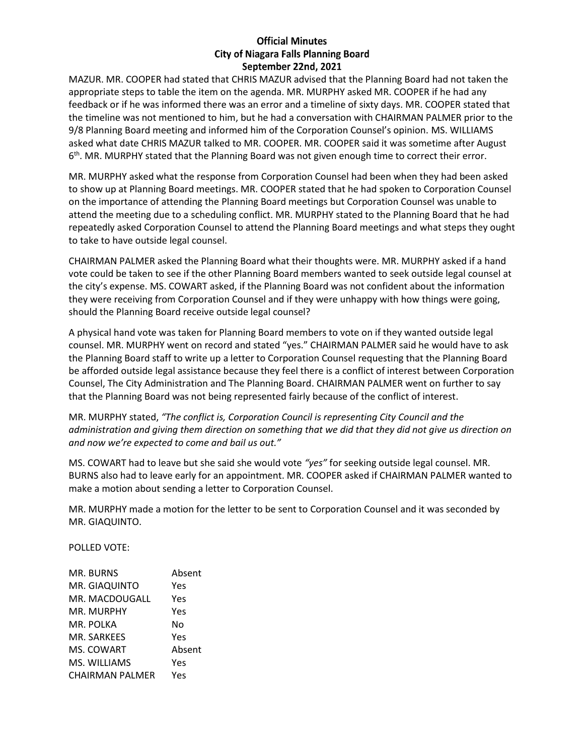MAZUR. MR. COOPER had stated that CHRIS MAZUR advised that the Planning Board had not taken the appropriate steps to table the item on the agenda. MR. MURPHY asked MR. COOPER if he had any feedback or if he was informed there was an error and a timeline of sixty days. MR. COOPER stated that the timeline was not mentioned to him, but he had a conversation with CHAIRMAN PALMER prior to the 9/8 Planning Board meeting and informed him of the Corporation Counsel's opinion. MS. WILLIAMS asked what date CHRIS MAZUR talked to MR. COOPER. MR. COOPER said it was sometime after August 6<sup>th</sup>. MR. MURPHY stated that the Planning Board was not given enough time to correct their error.

MR. MURPHY asked what the response from Corporation Counsel had been when they had been asked to show up at Planning Board meetings. MR. COOPER stated that he had spoken to Corporation Counsel on the importance of attending the Planning Board meetings but Corporation Counsel was unable to attend the meeting due to a scheduling conflict. MR. MURPHY stated to the Planning Board that he had repeatedly asked Corporation Counsel to attend the Planning Board meetings and what steps they ought to take to have outside legal counsel.

CHAIRMAN PALMER asked the Planning Board what their thoughts were. MR. MURPHY asked if a hand vote could be taken to see if the other Planning Board members wanted to seek outside legal counsel at the city's expense. MS. COWART asked, if the Planning Board was not confident about the information they were receiving from Corporation Counsel and if they were unhappy with how things were going, should the Planning Board receive outside legal counsel?

A physical hand vote was taken for Planning Board members to vote on if they wanted outside legal counsel. MR. MURPHY went on record and stated "yes." CHAIRMAN PALMER said he would have to ask the Planning Board staff to write up a letter to Corporation Counsel requesting that the Planning Board be afforded outside legal assistance because they feel there is a conflict of interest between Corporation Counsel, The City Administration and The Planning Board. CHAIRMAN PALMER went on further to say that the Planning Board was not being represented fairly because of the conflict of interest.

MR. MURPHY stated, *"The conflict is, Corporation Council is representing City Council and the administration and giving them direction on something that we did that they did not give us direction on and now we're expected to come and bail us out."*

MS. COWART had to leave but she said she would vote *"yes"* for seeking outside legal counsel. MR. BURNS also had to leave early for an appointment. MR. COOPER asked if CHAIRMAN PALMER wanted to make a motion about sending a letter to Corporation Counsel.

MR. MURPHY made a motion for the letter to be sent to Corporation Counsel and it was seconded by MR. GIAQUINTO.

POLLED VOTE:

| MR. BURNS              | Absent |
|------------------------|--------|
| MR. GIAQUINTO          | Yes    |
| MR. MACDOUGALL         | Yes    |
| MR. MURPHY             | Yes    |
| MR. POLKA              | N٥     |
| MR. SARKEES            | Yes    |
| MS. COWART             | Absent |
| MS. WILLIAMS           | Yes    |
| <b>CHAIRMAN PALMER</b> | Υρς    |